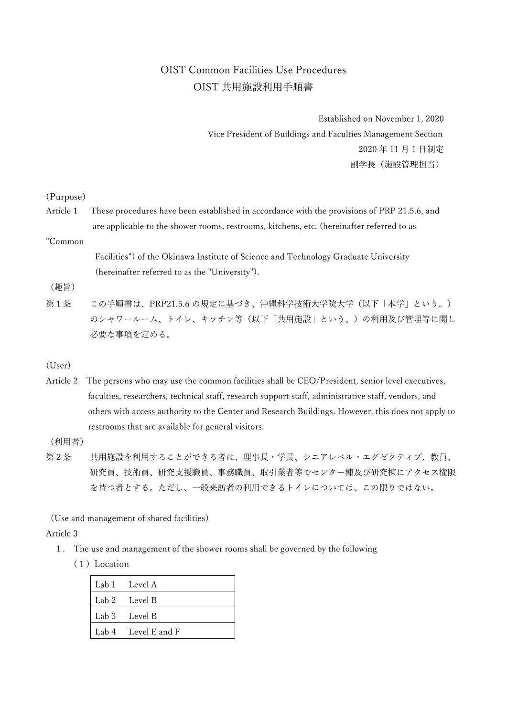# OIST Common Facilities Use Procedures OIST 共用施設利用手順書

Established on November 1, 2020 Vice President of Buildings and Faculties Management Section 2020 年 11 月 1 日制定 副学長 (施設管理担当)

### (Purpose)

Article 1 These procedures have been established in accordance with the provisions of PRP 21.5.6, and are applicable to the shower rooms, restrooms, kitchens, etc. (hereinafter referred to as

## "Common

Facilities") of the Okinawa Institute of Science and Technology Graduate University (hereinafter referred to as the "University").

#### (趣旨)

第1条 この手順書は、PRP21.5.6 の規定に基づき、沖縄科学技術大学院大学(以下「本学」という。) のシャワールーム、トイレ、キッチン等(以下「共用施設」という。)の利用及び管理等に関し 必要な事項を定める。

#### (User)

Article 2 The persons who may use the common facilities shall be CEO/President, senior level executives, faculties, researchers, technical staff, research support staff, administrative staff, vendors, and others with access authority to the Center and Research Buildings. However, this does not apply to restrooms that are available for general visitors.

## (利用者)

第2条 共用施設を利用することができる者は、理事長・学長、シニアレベル・エグゼクティブ、教員、 研究員、技術員、研究支援職員、事務職員、取引業者等でセンター棟及び研究棟にアクセス権限 を持つ者とする。ただし、一般来訪者の利用できるトイレについては、この限りではない。

(Use and management of shared facilities)

#### Article 3

- 1. The use and management of the shower rooms shall be governed by the following
	- (1)Location

| Lab 1 Level A       |
|---------------------|
| Lab 2 Level B       |
| Lab 3 Level B       |
| Lab 4 Level E and F |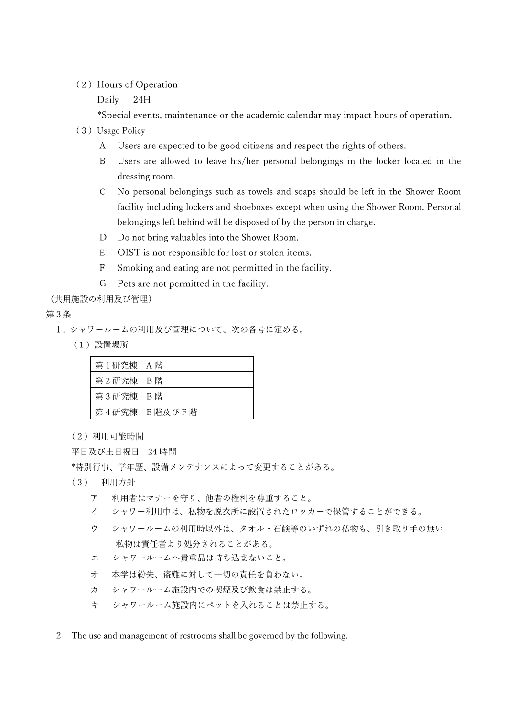## (2) Hours of Operation

Daily 24H

\*Special events, maintenance or the academic calendar may impact hours of operation.

- (3)Usage Policy
	- A Users are expected to be good citizens and respect the rights of others.
	- B Users are allowed to leave his/her personal belongings in the locker located in the dressing room.
	- C No personal belongings such as towels and soaps should be left in the Shower Room facility including lockers and shoeboxes except when using the Shower Room. Personal belongings left behind will be disposed of by the person in charge.
	- D Do not bring valuables into the Shower Room.
	- E OIST is not responsible for lost or stolen items.
	- F Smoking and eating are not permitted in the facility.
	- G Pets are not permitted in the facility.

(共用施設の利用及び管理)

第3条

- 1. シャワールームの利用及び管理について、次の各号に定める。
	- (1)設置場所

| 第1研究棟 A階 |              |
|----------|--------------|
| 第2研究棟 B階 |              |
| 第3研究棟 B階 |              |
|          | 第4研究棟 E階及びF階 |

(2)利用可能時間

平日及び土日祝日 24 時間

\*特別行事、学年歴、設備メンテナンスによって変更することがある。

- (3) 利用方針
	- ア 利用者はマナーを守り、他者の権利を尊重すること。
	- イ シャワー利用中は、私物を脱衣所に設置されたロッカーで保管することができる。
	- ウ シャワールームの利用時以外は、タオル・石鹸等のいずれの私物も、引き取り手の無い 私物は責任者より処分されることがある。
	- エ シャワールームへ貴重品は持ち込まないこと。
	- オ 本学は紛失、盗難に対して一切の責任を負わない。
	- カ シャワールーム施設内での喫煙及び飲食は禁止する。
	- キ シャワールーム施設内にペットを入れることは禁止する。
- 2 The use and management of restrooms shall be governed by the following.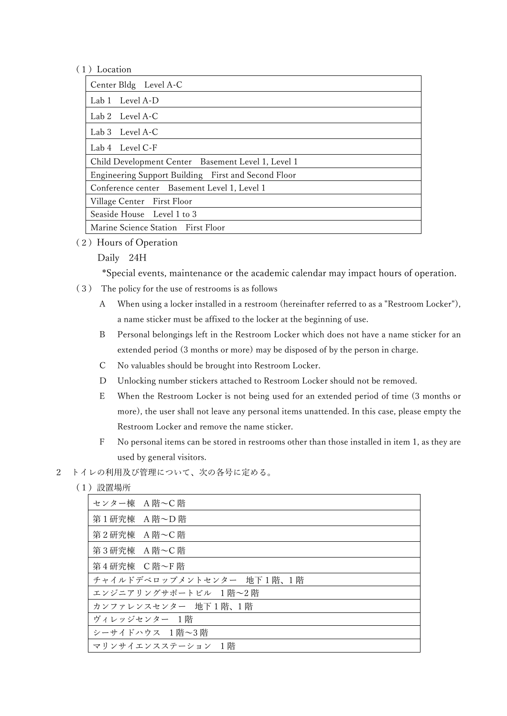## (1)Location

| Center Bldg Level A-C                               |  |  |
|-----------------------------------------------------|--|--|
| Lab 1 Level A-D                                     |  |  |
| Lab 2 Level A-C                                     |  |  |
| Lab 3 Level A-C                                     |  |  |
| Lab 4 Level C-F                                     |  |  |
| Child Development Center Basement Level 1, Level 1  |  |  |
| Engineering Support Building First and Second Floor |  |  |
| Conference center Basement Level 1, Level 1         |  |  |
| Village Center First Floor                          |  |  |
| Seaside House Level 1 to 3                          |  |  |
| Marine Science Station First Floor                  |  |  |

(2) Hours of Operation

## Daily 24H

\*Special events, maintenance or the academic calendar may impact hours of operation.

- (3) The policy for the use of restrooms is as follows
	- A When using a locker installed in a restroom (hereinafter referred to as a "Restroom Locker"), a name sticker must be affixed to the locker at the beginning of use.
	- B Personal belongings left in the Restroom Locker which does not have a name sticker for an extended period (3 months or more) may be disposed of by the person in charge.
	- C No valuables should be brought into Restroom Locker.
	- D Unlocking number stickers attached to Restroom Locker should not be removed.
	- E When the Restroom Locker is not being used for an extended period of time (3 months or more), the user shall not leave any personal items unattended. In this case, please empty the Restroom Locker and remove the name sticker.
	- F No personal items can be stored in restrooms other than those installed in item 1, as they are used by general visitors.
- 2 トイレの利用及び管理について、次の各号に定める。
	- (1)設置場所

| センター棟 A階~C階    |                           |
|----------------|---------------------------|
| 第1研究棟 A 階~D 階  |                           |
| 第2研究棟 A 階~C 階  |                           |
| 第3研究棟 A 階~C 階  |                           |
| 第4研究棟 C階~F階    |                           |
|                | チャイルドデベロップメントセンター 地下1階、1階 |
|                | エンジニアリングサポートビル 1階~2階      |
|                | カンファレンスセンター 地下1階、1階       |
| ヴィレッジセンター 1階   |                           |
| シーサイドハウス 1階~3階 |                           |
|                | - マリンサイエンスステーション - 1階     |
|                |                           |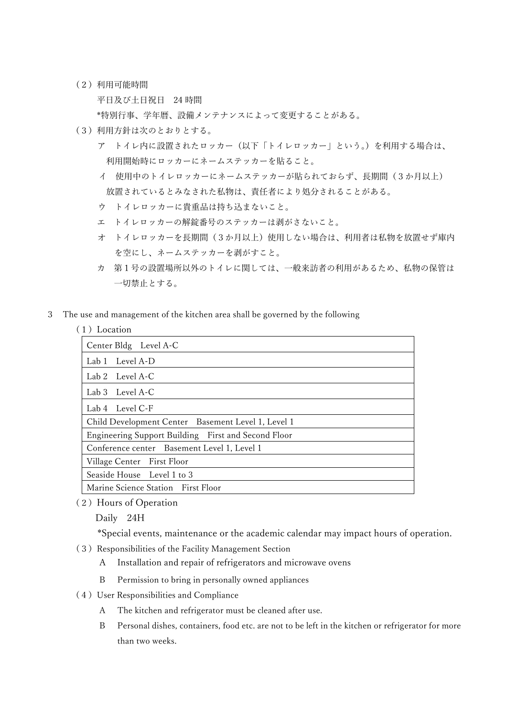(2)利用可能時間

平日及び土日祝日 24 時間

\*特別行事、学年暦、設備メンテナンスによって変更することがある。

- (3)利用方針は次のとおりとする。
	- ア トイレ内に設置されたロッカー(以下「トイレロッカー」という。)を利用する場合は、 利用開始時にロッカーにネームステッカーを貼ること。
	- イ 使用中のトイレロッカーにネームステッカーが貼られておらず、長期間(3か月以上) 放置されているとみなされた私物は、責任者により処分されることがある。
	- ウ トイレロッカーに貴重品は持ち込まないこと。
	- エ トイレロッカーの解錠番号のステッカーは剥がさないこと。
	- オ トイレロッカーを⻑期間(3か月以上)使用しない場合は、利用者は私物を放置せず庫内 を空にし、ネームステッカーを剥がすこと。
	- カ 第1号の設置場所以外のトイレに関しては、一般来訪者の利用があるため、私物の保管は 一切禁止とする。
- 3 The use and management of the kitchen area shall be governed by the following

#### (1)Location

| Center Bldg Level A-C                               |  |
|-----------------------------------------------------|--|
| Lab 1 Level A-D                                     |  |
| Lab 2 Level A-C                                     |  |
| Lab 3 Level A-C                                     |  |
| Lab 4 Level C-F                                     |  |
| Child Development Center Basement Level 1, Level 1  |  |
| Engineering Support Building First and Second Floor |  |
| Conference center Basement Level 1, Level 1         |  |
| Village Center First Floor                          |  |
| Seaside House Level 1 to 3                          |  |
| Marine Science Station First Floor                  |  |

(2) Hours of Operation

Daily 24H

\*Special events, maintenance or the academic calendar may impact hours of operation.

- (3)Responsibilities of the Facility Management Section
	- A Installation and repair of refrigerators and microwave ovens
	- B Permission to bring in personally owned appliances
- (4)User Responsibilities and Compliance
	- A The kitchen and refrigerator must be cleaned after use.
	- B Personal dishes, containers, food etc. are not to be left in the kitchen or refrigerator for more than two weeks.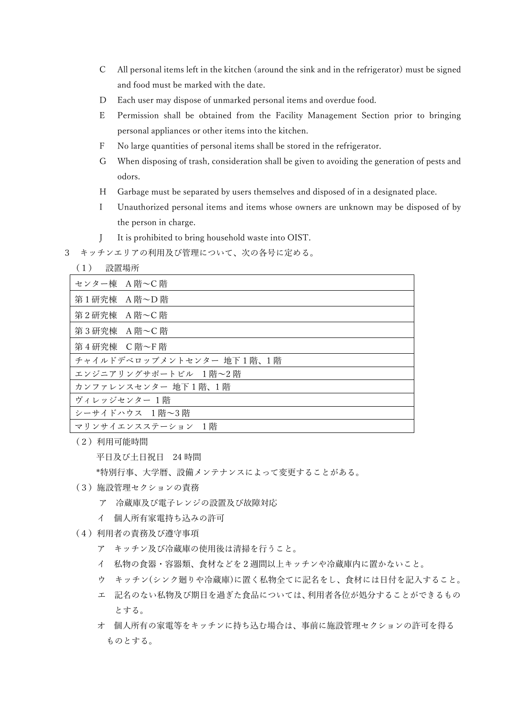- C All personal items left in the kitchen (around the sink and in the refrigerator) must be signed and food must be marked with the date.
- D Each user may dispose of unmarked personal items and overdue food.
- E Permission shall be obtained from the Facility Management Section prior to bringing personal appliances or other items into the kitchen.
- F No large quantities of personal items shall be stored in the refrigerator.
- G When disposing of trash, consideration shall be given to avoiding the generation of pests and odors.
- H Garbage must be separated by users themselves and disposed of in a designated place.
- I Unauthorized personal items and items whose owners are unknown may be disposed of by the person in charge.
- J It is prohibited to bring household waste into OIST.
- 3 キッチンエリアの利用及び管理について、次の各号に定める。

#### (1) 設置場所

| センター棟 A 階~C 階             |
|---------------------------|
| 第1研究棟 A階~D階               |
|                           |
| 第2研究棟 A階~C階               |
| 第3研究棟 A 階~C 階             |
|                           |
| 第4研究棟 C階~F階               |
| チャイルドデベロップメントセンター 地下1階、1階 |
| エンジニアリングサポートビル 1階~2 階     |
| カンファレンスセンター 地下1階、1階       |
| ヴィレッジセンター 1階              |
| シーサイドハウス 1階~3階            |
| マリンサイエンスステーション 1階         |

(2)利用可能時間

平日及び土日祝日 24 時間

\*特別行事、大学暦、設備メンテナンスによって変更することがある。

- (3)施設管理セクションの責務
	- ア 冷蔵庫及び電子レンジの設置及び故障対応
	- イ 個人所有家電持ち込みの許可
- (4)利用者の責務及び遵守事項
	- ア キッチン及び冷蔵庫の使用後は清掃を行うこと。
	- イ 私物の食器・容器類、食材などを2週間以上キッチンや冷蔵庫内に置かないこと。
	- ウ キッチン(シンク廻りや冷蔵庫)に置く私物全てに記名をし、食材には日付を記入すること。
	- エ 記名のない私物及び期日を過ぎた食品については、利用者各位が処分することができるもの とする。
	- オ 個人所有の家電等をキッチンに持ち込む場合は、事前に施設管理セクションの許可を得る ものとする。